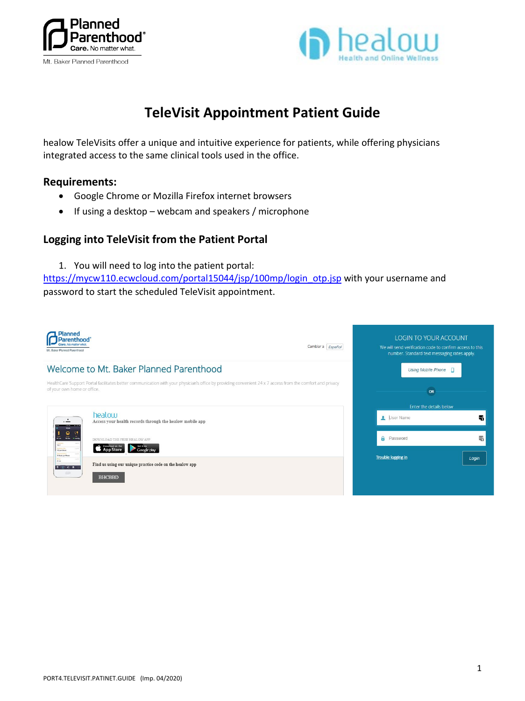



## **TeleVisit Appointment Patient Guide**

healow TeleVisits offer a unique and intuitive experience for patients, while offering physicians integrated access to the same clinical tools used in the office.

## **Requirements:**

- Google Chrome or Mozilla Firefox internet browsers
- If using a desktop webcam and speakers / microphone

## **Logging into TeleVisit from the Patient Portal**

1. You will need to log into the patient portal:

[https://mycw110.ecwcloud.com/portal15044/jsp/100mp/login\\_otp.jsp](https://mycw110.ecwcloud.com/portal15044/jsp/100mp/login_otp.jsp) with your username and password to start the scheduled TeleVisit appointment.

| <b>Planned</b><br>Parenthood<br>. Baker Planned Parenthood                                                                                                                                                                                                      | Cambiar a Español | <b>LOGIN TO YOUR ACCOUNT</b><br>We will send verification code to confirm access to this<br>number. Standard text messaging rates apply. |       |
|-----------------------------------------------------------------------------------------------------------------------------------------------------------------------------------------------------------------------------------------------------------------|-------------------|------------------------------------------------------------------------------------------------------------------------------------------|-------|
| Welcome to Mt. Baker Planned Parenthood                                                                                                                                                                                                                         |                   | Using Mobile Phone <sub>D</sub>                                                                                                          |       |
| HealthCare Support Portal facilitates better communication with your physician's office by providing convenient 24 x 7 access from the comfort and privacy<br>of your own home or office.                                                                       |                   | OR                                                                                                                                       |       |
| healow                                                                                                                                                                                                                                                          |                   | Enter the details below<br>User Name                                                                                                     | 뻮     |
| ٠<br>Access your health records through the healow mobile app<br>$\overline{\phantom{0}}$<br>$\overline{m}$ $\overline{m}$<br><b>IFF</b> cm<br>DOWNLOAD THE FREE HEALOW APP<br>3000<br><b>App Store</b><br>120 per Minute<br>Google play<br>75 Boats per Minute |                   | <b>A</b> Password                                                                                                                        | 量     |
| $\frac{1}{\lambda + m}$<br>Find us using our unique practice code on the healow app<br>$\begin{array}{c cccc}\n\bullet & 1 & 0 & 0 & \cdots\n\end{array}$                                                                                                       |                   | Trouble logging in                                                                                                                       | Login |
| Killy.<br><b>BHCBBD</b>                                                                                                                                                                                                                                         |                   |                                                                                                                                          |       |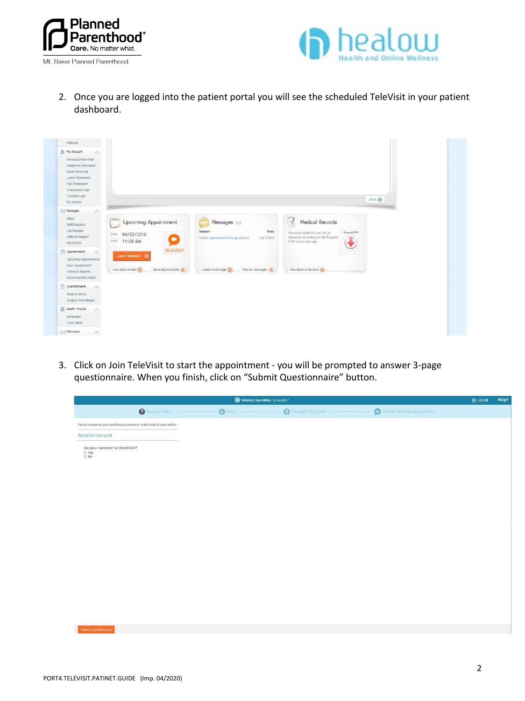



2. Once you are logged into the patient portal you will see the scheduled TeleVisit in your patient dashboard.



3. Click on Join TeleVisit to start the appointment - you will be prompted to answer 3-page questionnaire. When you finish, click on "Submit Questionnaire" button.

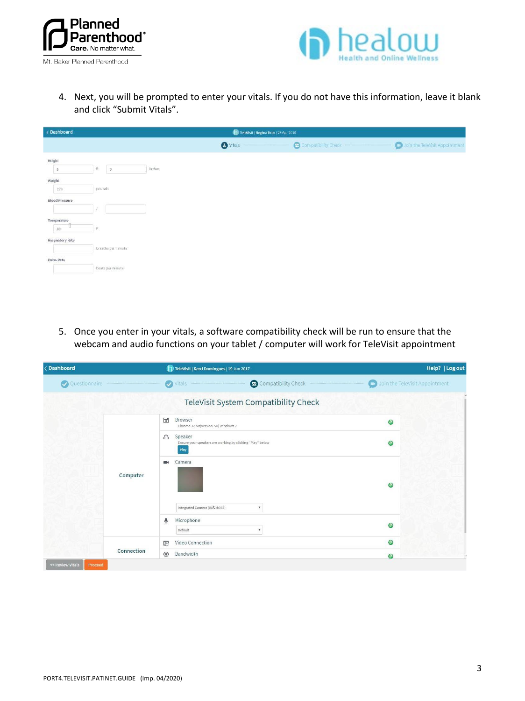



4. Next, you will be prompted to enter your vitals. If you do not have this information, leave it blank and click "Submit Vitals".

| < Dashboard             |                     |        |                 | Televisit   Regina Druz   28 Apr 2016 |
|-------------------------|---------------------|--------|-----------------|---------------------------------------|
|                         |                     |        | <b>O</b> Vitals | Compatibility Check                   |
| Height                  |                     |        |                 |                                       |
| $\overline{5}$          | n<br>$\vert$ 3      | inches |                 |                                       |
| Weight                  |                     |        |                 |                                       |
| 120                     | pounds              |        |                 |                                       |
| <b>Blood Pressure</b>   |                     |        |                 |                                       |
|                         |                     |        |                 |                                       |
| Temperature<br>u        |                     |        |                 |                                       |
| 98                      | F.                  |        |                 |                                       |
| <b>Respiratory Rate</b> | breaths per minute: |        |                 |                                       |
|                         |                     |        |                 |                                       |
| Pulse Rate              | baats per minute    |        |                 |                                       |
|                         |                     |        |                 |                                       |

5. Once you enter in your vitals, a software compatibility check will be run to ensure that the webcam and audio functions on your tablet / computer will work for TeleVisit appointment

| < Dashboard   |            | TeleVisit   Kerri Domingues   19 Jun 2017                                                | Help?   Log out                          |
|---------------|------------|------------------------------------------------------------------------------------------|------------------------------------------|
| Questionnaire |            | Compatibility Check<br>Vitals<br>$\boldsymbol{\omega}$                                   | <b>CO</b> Join the TeleVisit Appointment |
|               |            | TeleVisit System Compatibility Check                                                     |                                          |
|               |            | $\sqrt{a}$<br>Browser<br>Chrome 32 bit(version 58) Windows 7                             | $\odot$                                  |
|               |            | Speaker<br>$\Omega$<br>Ensure your speakers are working by clicking "Play" below<br>Play | $\circledcirc$                           |
|               | Computer   | Camera<br>$\blacksquare$                                                                 | $\odot$                                  |
|               |            | Integrated Camera (04f2:b398)<br>$\boldsymbol{\mathrm{v}}$                               |                                          |
|               |            | Microphone<br>ଭ<br>Default<br>$\boldsymbol{\mathrm{v}}$                                  | $\circledcirc$                           |
|               |            | Video Connection<br>$\mathbb{E}$                                                         | $\odot$                                  |
|               | Connection | $\circledcirc$<br>Bandwidth                                                              | $\odot$                                  |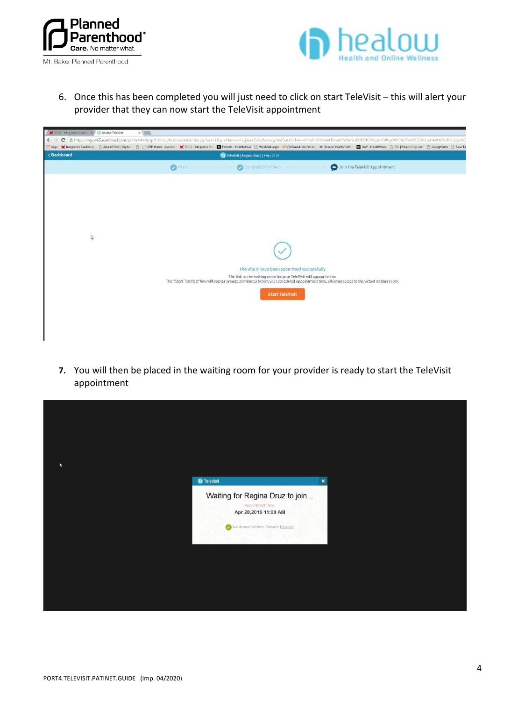



6. Once this has been completed you will just need to click on start TeleVisit – this will alert your provider that they can now start the TeleVisit appointment

| CCLI - Integrative Cardin X 1 healow TeleVisit                                                                                                                                                                                                   | $x \equiv$      |                                       |                                                                    |                                                                                                                                               |  |
|--------------------------------------------------------------------------------------------------------------------------------------------------------------------------------------------------------------------------------------------------|-----------------|---------------------------------------|--------------------------------------------------------------------|-----------------------------------------------------------------------------------------------------------------------------------------------|--|
| https://mycw65.ecwdoud.com/portal8480/jsp/100mp/telemed/teleIndex.jpp?act=1&proName=Regina+Druz&encryptedDataToTele=KYmRUPloN4ATbmASVtArwsEURDR7PGpJHGAhy0XP0%2FvXOTZJBVUdNMH9%2BrL2zjw%2<br>$\mathbf{C}$<br>$\leftarrow$                        |                 |                                       |                                                                    |                                                                                                                                               |  |
| Christopathe Cardiology [] About NVeC   Dightal [] [ ] OFH Home- Superior ( [ ] DCLI - Integrative C . [ ]] Patients - Health Wave [] WebMailLogin @ (3) Roundcube Web: W Beacon Health Party: [ ] Staff - Health Wave [ ] ECL<br><b>El Apps</b> |                 |                                       |                                                                    |                                                                                                                                               |  |
| < Dashboard                                                                                                                                                                                                                                      |                 | TeleVisit   Regina Druz   28 Apr 2016 |                                                                    |                                                                                                                                               |  |
|                                                                                                                                                                                                                                                  | <b>M</b> Vitals |                                       | Compatibility Check                                                | Join the TeleVisit Appointment                                                                                                                |  |
|                                                                                                                                                                                                                                                  |                 |                                       |                                                                    |                                                                                                                                               |  |
|                                                                                                                                                                                                                                                  |                 |                                       |                                                                    |                                                                                                                                               |  |
|                                                                                                                                                                                                                                                  |                 |                                       |                                                                    |                                                                                                                                               |  |
|                                                                                                                                                                                                                                                  |                 |                                       |                                                                    |                                                                                                                                               |  |
|                                                                                                                                                                                                                                                  |                 |                                       |                                                                    |                                                                                                                                               |  |
| $\mathbb{Q}$                                                                                                                                                                                                                                     |                 |                                       |                                                                    |                                                                                                                                               |  |
|                                                                                                                                                                                                                                                  |                 |                                       |                                                                    |                                                                                                                                               |  |
|                                                                                                                                                                                                                                                  |                 |                                       | The Vitals have been submitted successfully                        |                                                                                                                                               |  |
|                                                                                                                                                                                                                                                  |                 |                                       | The link to the waiting room for your TeleVisit will appear below. | The "Start TeleVisit" link will appear orange 30 minutes before your scheduled appointment time, allowing access to the virtual waiting room. |  |
|                                                                                                                                                                                                                                                  |                 |                                       | <b>Start TeleVisit</b>                                             |                                                                                                                                               |  |
|                                                                                                                                                                                                                                                  |                 |                                       |                                                                    |                                                                                                                                               |  |
|                                                                                                                                                                                                                                                  |                 |                                       |                                                                    |                                                                                                                                               |  |
|                                                                                                                                                                                                                                                  |                 |                                       |                                                                    |                                                                                                                                               |  |
|                                                                                                                                                                                                                                                  |                 |                                       |                                                                    |                                                                                                                                               |  |

**7.** You will then be placed in the waiting room for your provider is ready to start the TeleVisit appointment

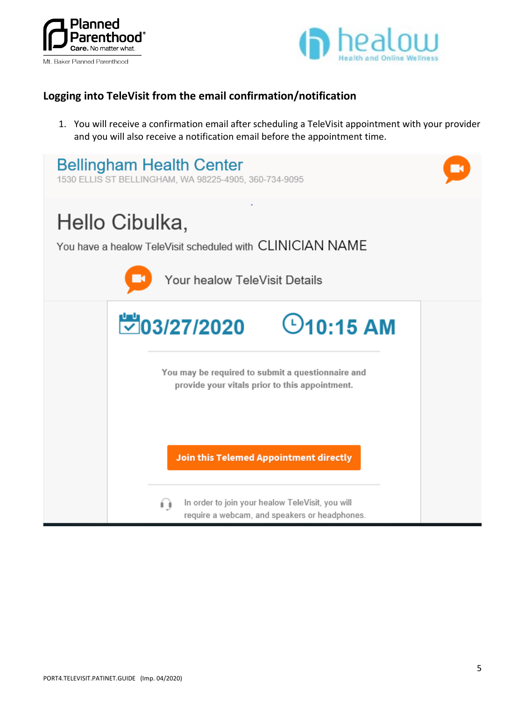



## **Logging into TeleVisit from the email confirmation/notification**

1. You will receive a confirmation email after scheduling a TeleVisit appointment with your provider and you will also receive a notification email before the appointment time.

| <b>Bellingham Health Center</b><br>1530 ELLIS ST BELLINGHAM, WA 98225-4905, 360-734-9095                     |  |
|--------------------------------------------------------------------------------------------------------------|--|
| Hello Cibulka,<br>You have a healow TeleVisit scheduled with CLINICIAN NAME<br>Your healow TeleVisit Details |  |
| ₩03/27/2020<br>$\odot$ 10:15 AM                                                                              |  |
| You may be required to submit a questionnaire and<br>provide your vitals prior to this appointment.          |  |
| <b>Join this Telemed Appointment directly</b>                                                                |  |
| In order to join your healow TeleVisit, you will<br>í ì<br>require a webcam, and speakers or headphones.     |  |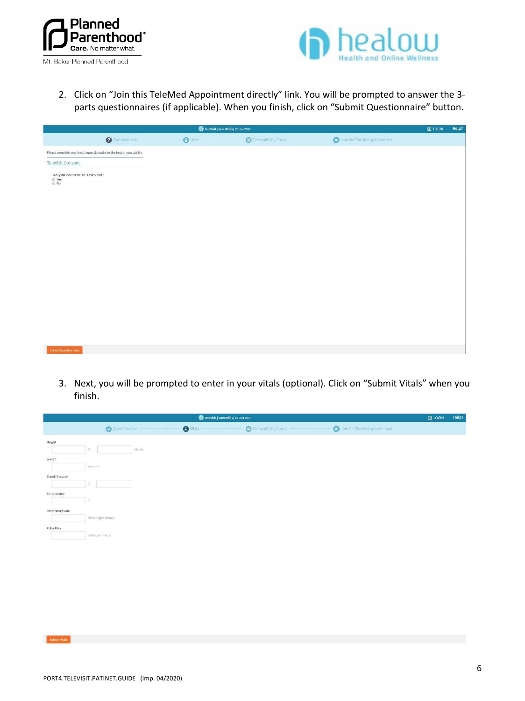



2. Click on "Join this TeleMed Appointment directly" link. You will be prompted to answer the 3 parts questionnaires (if applicable). When you finish, click on "Submit Questionnaire" button.

| TeleVisit   Sam Willis   12 Jun 2017                                   |                  |                     | $\Theta$ LOGIN                 | Help? |  |
|------------------------------------------------------------------------|------------------|---------------------|--------------------------------|-------|--|
| <b>O</b> Questionnaire                                                 | $\bullet$ Vitals | Compatibility Check | Join the TeleVisit Appointment |       |  |
| Please complete your health questionnaire to the best of your ability. |                  |                     |                                |       |  |
| TeleVisit Consent                                                      |                  |                     |                                |       |  |
| Do you consent to TeleVisit?<br>e Yes<br>In No                         |                  |                     |                                |       |  |
|                                                                        |                  |                     |                                |       |  |
|                                                                        |                  |                     |                                |       |  |
|                                                                        |                  |                     |                                |       |  |
|                                                                        |                  |                     |                                |       |  |
|                                                                        |                  |                     |                                |       |  |
|                                                                        |                  |                     |                                |       |  |
|                                                                        |                  |                     |                                |       |  |
| Submit Questionnaire                                                   |                  |                     |                                |       |  |

3. Next, you will be prompted to enter in your vitals (optional). Click on "Submit Vitals" when you finish.

| Televisit   Sam Willis   12 Jun 2017                                                       |  |  |  |
|--------------------------------------------------------------------------------------------|--|--|--|
| $\bullet$ Vitals<br>Join the TeleVisit Appointment<br>Compatibility Check<br>Questionnaire |  |  |  |
| Height<br>inches<br>$\hbar$                                                                |  |  |  |
| Weight                                                                                     |  |  |  |
| pounds<br>Blood Pressure                                                                   |  |  |  |
|                                                                                            |  |  |  |
| Temperature<br>F.                                                                          |  |  |  |
| Respiratory Rate<br>breaths per minute                                                     |  |  |  |
| Pulse Rate                                                                                 |  |  |  |
| beats per minute                                                                           |  |  |  |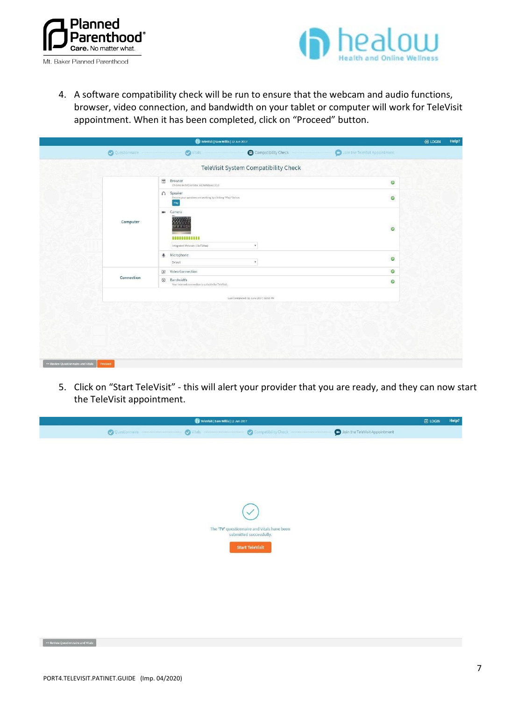



4. A software compatibility check will be run to ensure that the webcam and audio functions, browser, video connection, and bandwidth on your tablet or computer will work for TeleVisit appointment. When it has been completed, click on "Proceed" button.

|                                                                                      |                                        |                                                                                                                                                                                                  | <b>日 LOGIN</b>                 | Help? |
|--------------------------------------------------------------------------------------|----------------------------------------|--------------------------------------------------------------------------------------------------------------------------------------------------------------------------------------------------|--------------------------------|-------|
| Vitals                                                                               | Compatibility Check                    |                                                                                                                                                                                                  |                                |       |
|                                                                                      |                                        |                                                                                                                                                                                                  |                                |       |
| $\overline{\alpha}$<br><b>Browser</b><br>Chrome 64 bit(version 58) Windows 10.0      |                                        | $\circ$                                                                                                                                                                                          |                                |       |
| n Speaker<br>Play                                                                    |                                        | $\circledcirc$                                                                                                                                                                                   |                                |       |
| ms.<br>Camera<br>William<br>$C$ $F$ $F$ $F$ $D$<br><br>Integrated Webcam (1hcf:28aa) | $\tau$                                 | $\circ$                                                                                                                                                                                          |                                |       |
| Microphone<br>$\overline{\mathfrak{g}}$<br>Default                                   | ٠                                      | $\circ$                                                                                                                                                                                          |                                |       |
| Video Connection<br>$\Box$                                                           |                                        | $\circ$                                                                                                                                                                                          |                                |       |
| $\circledcirc$<br>Bandwidth                                                          |                                        | $\circ$                                                                                                                                                                                          |                                |       |
|                                                                                      | Last Completed: 12 June 2017, 02:51 PM |                                                                                                                                                                                                  |                                |       |
|                                                                                      |                                        |                                                                                                                                                                                                  |                                |       |
|                                                                                      |                                        | Televisit   Sam Willis   12 Jun 2017<br>TeleVisit System Compatibility Check<br>Ensure your speakers are working by clicking "Play" below<br>Your internet connection is suitable for TeleVisit. | Join the TeleVisit Appointment |       |

5. Click on "Start TeleVisit" - this will alert your provider that you are ready, and they can now start the TeleVisit appointment.

| Televisit   Sam Willis   12 Jun 2017                                                       |  |  |  |  |  |
|--------------------------------------------------------------------------------------------|--|--|--|--|--|
| Join the TeleVisit Appointment<br>$\bullet$ Vitals<br>Questionnaire<br>Compatibility Check |  |  |  |  |  |
|                                                                                            |  |  |  |  |  |
|                                                                                            |  |  |  |  |  |
|                                                                                            |  |  |  |  |  |
|                                                                                            |  |  |  |  |  |
|                                                                                            |  |  |  |  |  |
|                                                                                            |  |  |  |  |  |
|                                                                                            |  |  |  |  |  |
| $\checkmark$                                                                               |  |  |  |  |  |
| The 'TV' questionnaire and Vitals have been                                                |  |  |  |  |  |
| submitted successfully.                                                                    |  |  |  |  |  |
| <b>Start TeleVisit</b>                                                                     |  |  |  |  |  |
|                                                                                            |  |  |  |  |  |
|                                                                                            |  |  |  |  |  |
|                                                                                            |  |  |  |  |  |
|                                                                                            |  |  |  |  |  |
|                                                                                            |  |  |  |  |  |